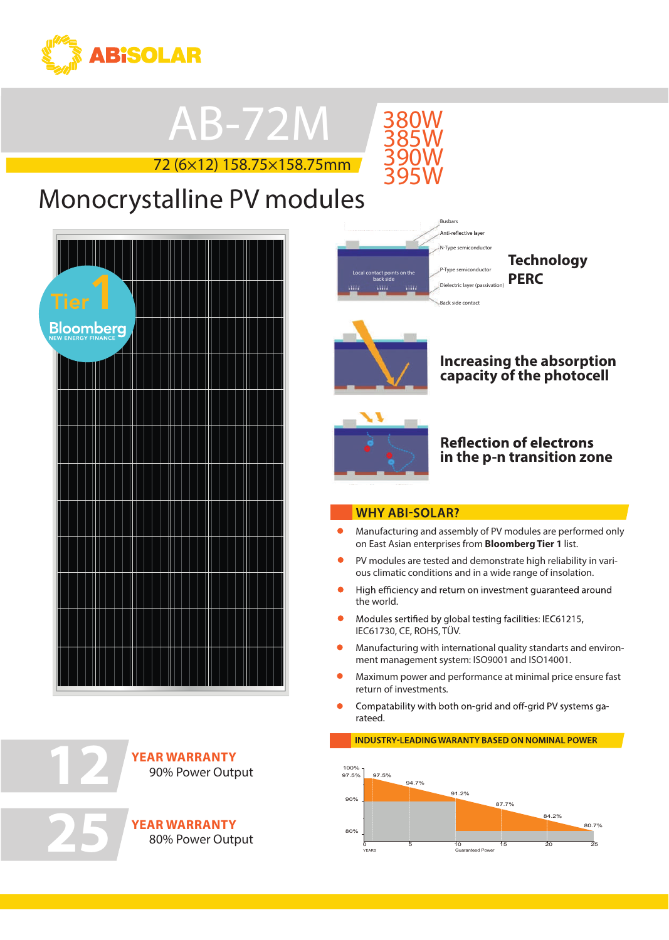

## AB-72M

72 (6×12) 158.75×158.75mm



### **Tier**<br>11 **Monocrystalline PV modules**





**25**

**YEAR WARRANTY** 90% Power Output

**YEAR WARRANTY** 80% Power Output



**Technology PERC**



#### **Increasing the absorption capacity of the photocell**



#### **Reflection of electrons in the p-n transition zone**

#### **WHY ABI-SOLAR?**

- Manufacturing and assembly of PV modules are performed only on East Asian enterprises from **Bloomberg Tier 1** list.
- PV modules are tested and demonstrate high reliability in various climatic conditions and in a wide range of insolation.
- High efficiency and return on investment quaranteed around the world.
- $\bullet$ Modules sertified by global testing facilities: IEC61215, IEC61730, CE, ROHS, TÜV.
- $\bullet$ Manufacturing with international quality standarts and environment management system: ISO9001 and ISO14001.
- $\bullet$ return of investments. r<br>r Maximum power and performance at minimal price ensure fast
- rateed.  $\bullet$ id and off-grid PV systems ga-
	- **INDUSTRY-LEADING WARANTY BASED ON NOMINAL POWER**